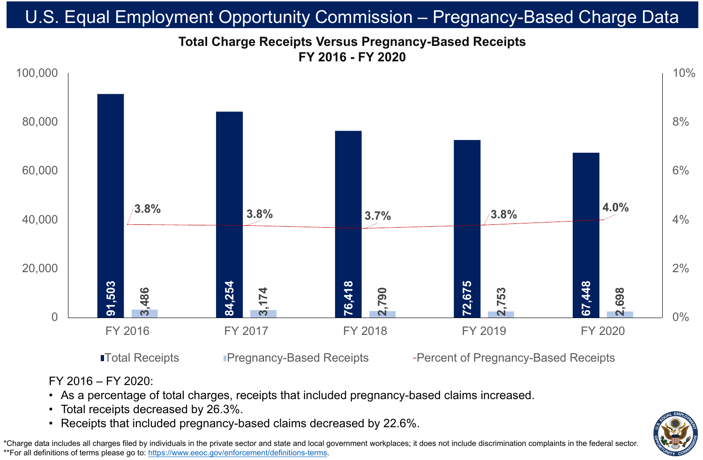### FY 2016 – FY 2020:

• As a percentage of total charges, receipts that included pregnancy-based claims increased.

- 
- Total receipts decreased by 26.3%.
- 

# **Total Charge Receipts Versus Pregnancy-Based Receipts FY 2016 - FY 2020** U.S. Equal Employment Opportunity Commission – Pregnancy-Based Charge Data

\*Charge data includes all charges filed by individuals in the private sector and state and local government workplaces; it does not include discrimination complaints in the federal sector. \*\*For all definitions of terms please go to:<https://www.eeoc.gov/enforcement/definitions-terms>.

■Total Receipts Pregnancy-Based Receipts + Percent of Pregnancy-Based Receipts



### FY 2016 FY 2017 FY 2018 FY 2019 FY 2020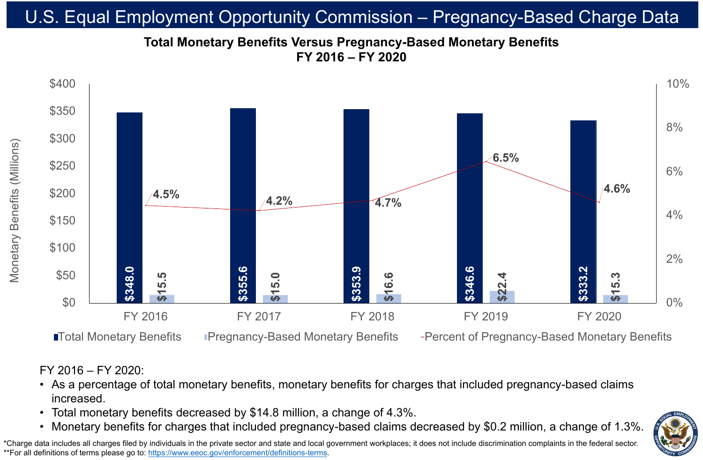FY 2016 – FY 2020:

- increased.
- 
- 

# • Total monetary benefits decreased by \$14.8 million, a change of 4.3%.

![](_page_1_Picture_14.jpeg)

# **Total Monetary Benefits Versus Pregnancy-Based Monetary Benefits FY 2016 – FY 2020** U.S. Equal Employment Opportunity Commission – Pregnancy-Based Charge Data

\*Charge data includes all charges filed by individuals in the private sector and state and local government workplaces; it does not include discrimination complaints in the federal sector. \*\*For all definitions of terms please go to:<https://www.eeoc.gov/enforcement/definitions-terms>.

# As a percentage of total monetary benefits, monetary benefits for charges that included pregnancy-based claims

![](_page_1_Figure_2.jpeg)

### **ITotal Monetary Benefits** Pregnancy-Based Monetary Benefits + Percent of Pregnancy-Based Monetary Benefits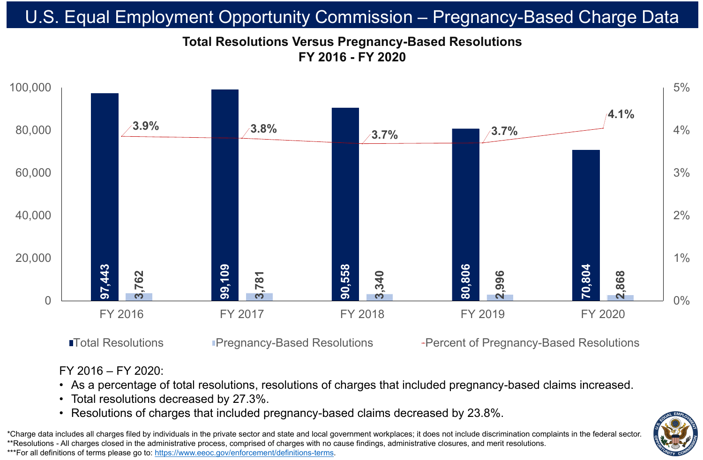![](_page_2_Figure_1.jpeg)

# **Total Resolutions Versus Pregnancy-Based Resolutions FY 2016 - FY 2020** U.S. Equal Employment Opportunity Commission – Pregnancy-Based Charge Data

\*Charge data includes all charges filed by individuals in the private sector and state and local government workplaces; it does not include discrimination complaints in the federal sector. \*\*Resolutions - All charges closed in the administrative process, comprised of charges with no cause findings, administrative closures, and merit resolutions. \*\*\*For all definitions of terms please go to:<https://www.eeoc.gov/enforcement/definitions-terms>.

### **ITotal Resolutions Construct Pregnancy-Based Resolutions Fercent of Pregnancy-Based Resolutions**

### FY 2016 – FY 2020:

# • As a percentage of total resolutions, resolutions of charges that included pregnancy-based claims increased. • Resolutions of charges that included pregnancy-based claims decreased by 23.8%.

![](_page_2_Picture_10.jpeg)

- 
- Total resolutions decreased by 27.3%.
-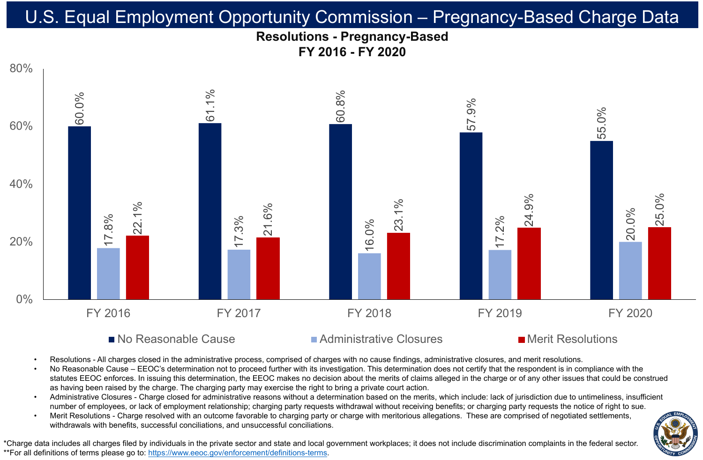# **Resolutions - Pregnancy-Based FY 2016 - FY 2020** U.S. Equal Employment Opportunity Commission – Pregnancy-Based Charge Data

![](_page_3_Picture_8.jpeg)

### $\blacksquare$  No Reasonable Cause  $\blacksquare$  Administrative Closures  $\blacksquare$  Merit Resolutions

![](_page_3_Figure_1.jpeg)

- 
- 
- 
- 

Resolutions - All charges closed in the administrative process, comprised of charges with no cause findings, administrative closures, and merit resolutions. No Reasonable Cause – EEOC's determination not to proceed further with its investigation. This determination does not certify that the respondent is in compliance with the statutes EEOC enforces. In issuing this determination, the EEOC makes no decision about the merits of claims alleged in the charge or of any other issues that could be construed as having been raised by the charge. The charging party may exercise the right to bring a private court action. • Administrative Closures - Charge closed for administrative reasons without a determination based on the merits, which include: lack of jurisdiction due to untimeliness, insufficient number of employees, or lack of employment relationship; charging party requests withdrawal without receiving benefits; or charging party requests the notice of right to sue. Merit Resolutions - Charge resolved with an outcome favorable to charging party or charge with meritorious allegations. These are comprised of negotiated settlements, withdrawals with benefits, successful conciliations, and unsuccessful conciliations.

\*Charge data includes all charges filed by individuals in the private sector and state and local government workplaces; it does not include discrimination complaints in the federal sector. \*\*For all definitions of terms please go to:<https://www.eeoc.gov/enforcement/definitions-terms>.

![](_page_3_Picture_13.jpeg)